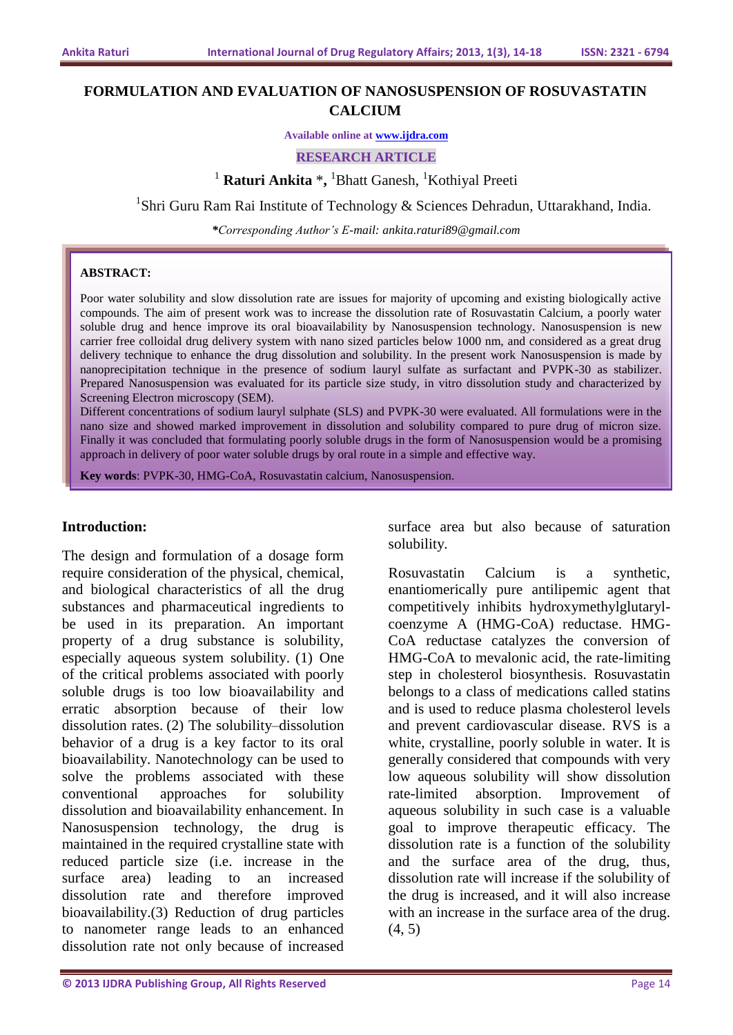# **FORMULATION AND EVALUATION OF NANOSUSPENSION OF ROSUVASTATIN CALCIUM**

**Available online at [www.ijdra.com](http://www.ijdra.com/)**

**RESEARCH ARTICLE**

<sup>1</sup> Raturi Ankita \*, <sup>1</sup>Bhatt Ganesh, <sup>1</sup>Kothiyal Preeti

<sup>1</sup>Shri Guru Ram Rai Institute of Technology & Sciences Dehradun, Uttarakhand, India.

*\*Corresponding Author's E-mail: ankita.raturi89@gmail.com*

#### **ABSTRACT:**

Poor water solubility and slow dissolution rate are issues for majority of upcoming and existing biologically active compounds. The aim of present work was to increase the dissolution rate of Rosuvastatin Calcium, a poorly water soluble drug and hence improve its oral bioavailability by Nanosuspension technology. Nanosuspension is new carrier free colloidal drug delivery system with nano sized particles below 1000 nm, and considered as a great drug delivery technique to enhance the drug dissolution and solubility. In the present work Nanosuspension is made by nanoprecipitation technique in the presence of sodium lauryl sulfate as surfactant and PVPK-30 as stabilizer. Prepared Nanosuspension was evaluated for its particle size study, in vitro dissolution study and characterized by Screening Electron microscopy (SEM).

Different concentrations of sodium lauryl sulphate (SLS) and PVPK-30 were evaluated. All formulations were in the nano size and showed marked improvement in dissolution and solubility compared to pure drug of micron size. Finally it was concluded that formulating poorly soluble drugs in the form of Nanosuspension would be a promising approach in delivery of poor water soluble drugs by oral route in a simple and effective way.

**Key words**: PVPK-30, HMG-CoA, Rosuvastatin calcium, Nanosuspension.

#### **Introduction:**

The design and formulation of a dosage form require consideration of the physical, chemical, and biological characteristics of all the drug substances and pharmaceutical ingredients to be used in its preparation. An important property of a drug substance is solubility, especially aqueous system solubility. (1) One of the critical problems associated with poorly soluble drugs is too low bioavailability and erratic absorption because of their low dissolution rates. (2) The solubility–dissolution behavior of a drug is a key factor to its oral bioavailability. Nanotechnology can be used to solve the problems associated with these conventional approaches for solubility dissolution and bioavailability enhancement. In Nanosuspension technology, the drug is maintained in the required crystalline state with reduced particle size (i.e. increase in the surface area) leading to an increased dissolution rate and therefore improved bioavailability.(3) Reduction of drug particles to nanometer range leads to an enhanced dissolution rate not only because of increased

surface area but also because of saturation solubility.

Rosuvastatin Calcium is a synthetic, enantiomerically pure antilipemic agent that competitively inhibits hydroxymethylglutarylcoenzyme A (HMG-CoA) reductase. HMG-CoA reductase catalyzes the conversion of HMG-CoA to mevalonic acid, the rate-limiting step in cholesterol biosynthesis. Rosuvastatin belongs to a class of medications called statins and is used to reduce plasma cholesterol levels and prevent cardiovascular disease. RVS is a white, crystalline, poorly soluble in water. It is generally considered that compounds with very low aqueous solubility will show dissolution rate-limited absorption. Improvement of aqueous solubility in such case is a valuable goal to improve therapeutic efficacy. The dissolution rate is a function of the solubility and the surface area of the drug, thus, dissolution rate will increase if the solubility of the drug is increased, and it will also increase with an increase in the surface area of the drug. (4, 5)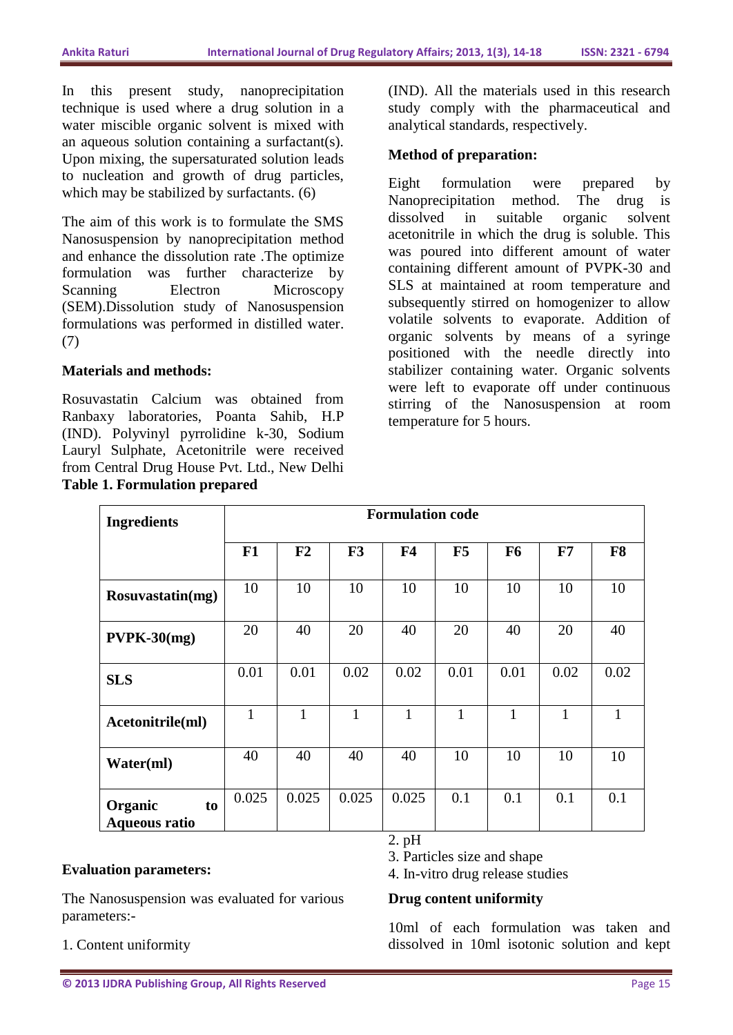In this present study, nanoprecipitation technique is used where a drug solution in a water miscible organic solvent is mixed with an aqueous solution containing a surfactant(s). Upon mixing, the supersaturated solution leads to nucleation and growth of drug particles, which may be stabilized by surfactants.  $(6)$ 

The aim of this work is to formulate the SMS Nanosuspension by nanoprecipitation method and enhance the dissolution rate .The optimize formulation was further characterize by Scanning Electron Microscopy (SEM).Dissolution study of Nanosuspension formulations was performed in distilled water. (7)

### **Materials and methods:**

Rosuvastatin Calcium was obtained from Ranbaxy laboratories, Poanta Sahib, H.P (IND). Polyvinyl pyrrolidine k-30, Sodium Lauryl Sulphate, Acetonitrile were received from Central Drug House Pvt. Ltd., New Delhi **Table 1. Formulation prepared**

(IND). All the materials used in this research study comply with the pharmaceutical and analytical standards, respectively.

### **Method of preparation:**

Eight formulation were prepared by Nanoprecipitation method. The drug is dissolved in suitable organic solvent acetonitrile in which the drug is soluble. This was poured into different amount of water containing different amount of PVPK-30 and SLS at maintained at room temperature and subsequently stirred on homogenizer to allow volatile solvents to evaporate. Addition of organic solvents by means of a syringe positioned with the needle directly into stabilizer containing water. Organic solvents were left to evaporate off under continuous stirring of the Nanosuspension at room temperature for 5 hours.

| <b>Ingredients</b>                    | <b>Formulation code</b> |       |       |                |      |                |              |                |
|---------------------------------------|-------------------------|-------|-------|----------------|------|----------------|--------------|----------------|
|                                       | F1                      | F2    | F3    | F <sub>4</sub> | F5   | F <sub>6</sub> | F7           | F <sub>8</sub> |
| Rosuvastatin(mg)                      | 10                      | 10    | 10    | 10             | 10   | 10             | 10           | 10             |
| $PVPK-30(mg)$                         | 20                      | 40    | 20    | 40             | 20   | 40             | 20           | 40             |
| <b>SLS</b>                            | 0.01                    | 0.01  | 0.02  | 0.02           | 0.01 | 0.01           | 0.02         | 0.02           |
| Acetonitrile(ml)                      | $\mathbf{1}$            | 1     | 1     | 1              | 1    | $\mathbf{1}$   | $\mathbf{1}$ | 1              |
| Water(ml)                             | 40                      | 40    | 40    | 40             | 10   | 10             | 10           | 10             |
| Organic<br>to<br><b>Aqueous ratio</b> | 0.025                   | 0.025 | 0.025 | 0.025          | 0.1  | 0.1            | 0.1          | 0.1            |

### **Evaluation parameters:**

The Nanosuspension was evaluated for various parameters:-

1. Content uniformity

2. pH

3. Particles size and shape

4. In-vitro drug release studies

### **Drug content uniformity**

10ml of each formulation was taken and dissolved in 10ml isotonic solution and kept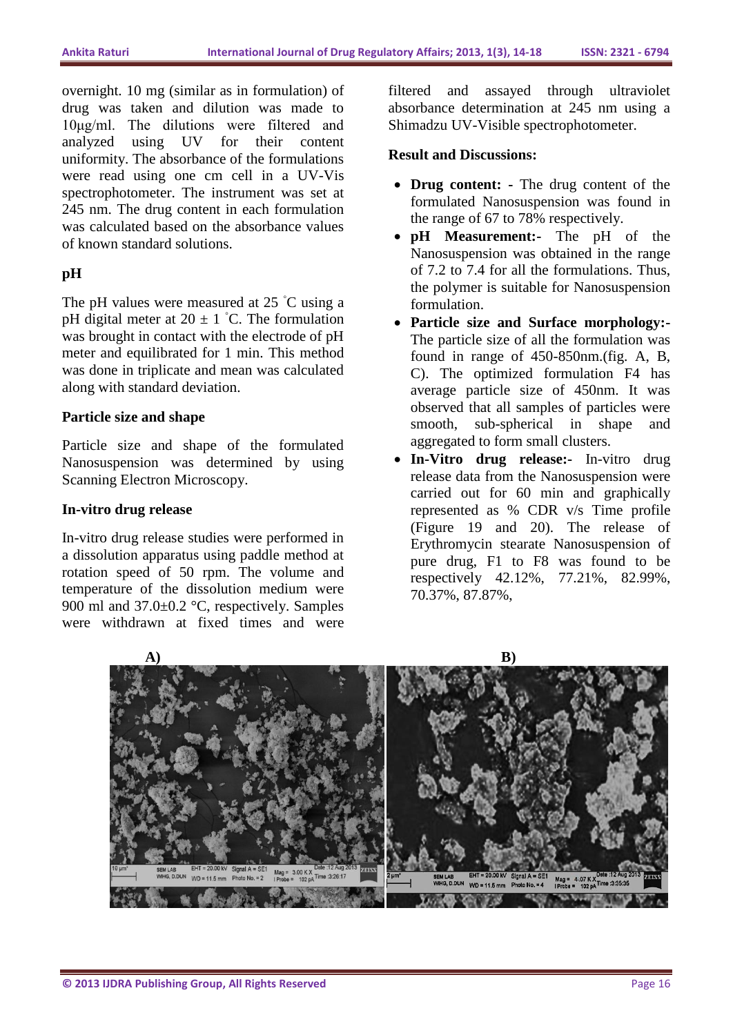overnight. 10 mg (similar as in formulation) of drug was taken and dilution was made to 10μg/ml. The dilutions were filtered and analyzed using UV for their content uniformity. The absorbance of the formulations were read using one cm cell in a UV-Vis spectrophotometer. The instrument was set at 245 nm. The drug content in each formulation was calculated based on the absorbance values of known standard solutions.

## **pH**

The pH values were measured at 25 °C using a pH digital meter at  $20 \pm 1$  °C. The formulation was brought in contact with the electrode of pH meter and equilibrated for 1 min. This method was done in triplicate and mean was calculated along with standard deviation.

### **Particle size and shape**

Particle size and shape of the formulated Nanosuspension was determined by using Scanning Electron Microscopy.

### **In-vitro drug release**

In-vitro drug release studies were performed in a dissolution apparatus using paddle method at rotation speed of 50 rpm. The volume and temperature of the dissolution medium were 900 ml and 37.0±0.2 °C, respectively. Samples were withdrawn at fixed times and were

filtered and assayed through ultraviolet absorbance determination at 245 nm using a Shimadzu UV-Visible spectrophotometer.

### **Result and Discussions:**

- **Drug content: -** The drug content of the formulated Nanosuspension was found in the range of 67 to 78% respectively.
- **pH Measurement:-** The pH of the Nanosuspension was obtained in the range of 7.2 to 7.4 for all the formulations. Thus, the polymer is suitable for Nanosuspension formulation.
- **Particle size and Surface morphology:-** The particle size of all the formulation was found in range of 450-850nm.(fig. A, B, C). The optimized formulation F4 has average particle size of 450nm. It was observed that all samples of particles were smooth, sub-spherical in shape and aggregated to form small clusters.
- **In-Vitro drug release:-** In-vitro drug release data from the Nanosuspension were carried out for 60 min and graphically represented as % CDR v/s Time profile (Figure 19 and 20). The release of Erythromycin stearate Nanosuspension of pure drug, F1 to F8 was found to be respectively 42.12%, 77.21%, 82.99%, 70.37%, 87.87%,

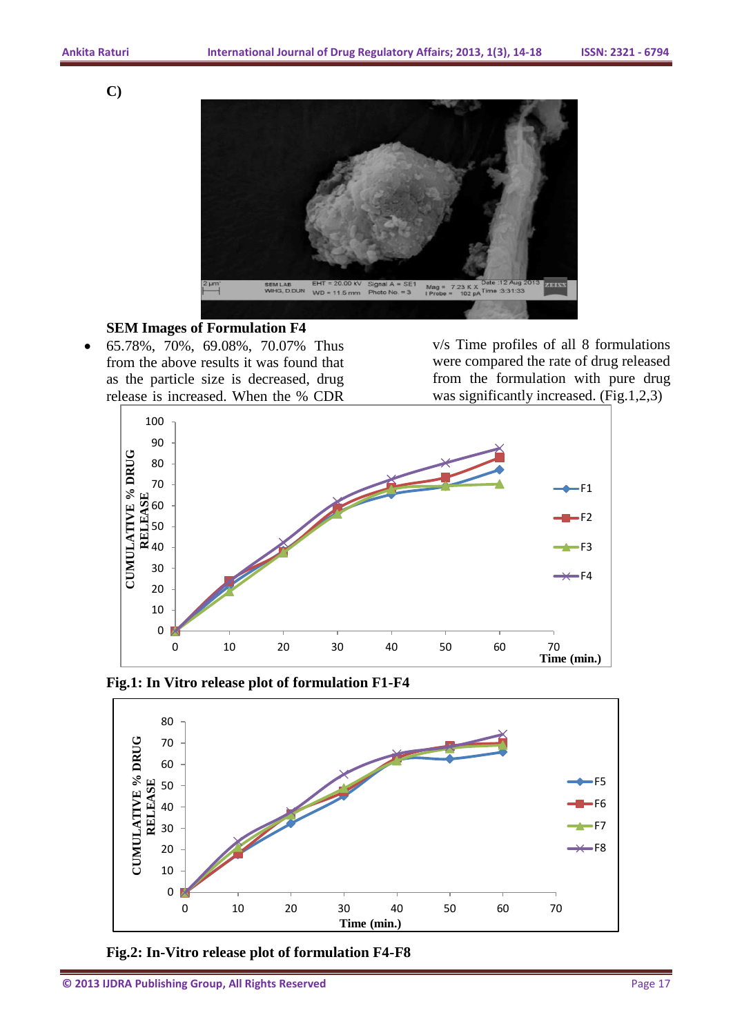**C)**



#### **SEM Images of Formulation F4**

 65.78%, 70%, 69.08%, 70.07% Thus from the above results it was found that as the particle size is decreased, drug release is increased. When the % CDR

v/s Time profiles of all 8 formulations were compared the rate of drug released from the formulation with pure drug was significantly increased. (Fig.1,2,3)



**Fig.1: In Vitro release plot of formulation F1-F4**